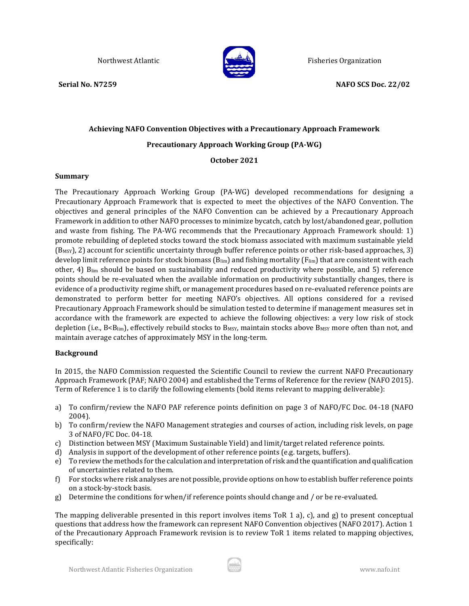

Northwest Atlantic **Fisheries Organization** Fisheries Organization

# **Achieving NAFO Convention Objectives with a Precautionary Approach Framework Precautionary Approach Working Group (PA-WG)**

**October 2021**

### **Summary**

The Precautionary Approach Working Group (PA-WG) developed recommendations for designing a Precautionary Approach Framework that is expected to meet the objectives of the NAFO Convention. The objectives and general principles of the NAFO Convention can be achieved by a Precautionary Approach Framework in addition to other NAFO processes to minimize bycatch, catch by lost/abandoned gear, pollution and waste from fishing. The PA-WG recommends that the Precautionary Approach Framework should: 1) promote rebuilding of depleted stocks toward the stock biomass associated with maximum sustainable yield  $(B_{MSY})$ , 2) account for scientific uncertainty through buffer reference points or other risk-based approaches, 3) develop limit reference points for stock biomass ( $B_{lim}$ ) and fishing mortality ( $F_{lim}$ ) that are consistent with each other, 4) Blim should be based on sustainability and reduced productivity where possible, and 5) reference points should be re-evaluated when the available information on productivity substantially changes, there is evidence of a productivity regime shift, or management procedures based on re-evaluated reference points are demonstrated to perform better for meeting NAFO's objectives. All options considered for a revised Precautionary Approach Framework should be simulation tested to determine if management measures set in accordance with the framework are expected to achieve the following objectives: a very low risk of stock depletion (i.e., B<Blim), effectively rebuild stocks to B<sub>MSY</sub>, maintain stocks above B<sub>MSY</sub> more often than not, and maintain average catches of approximately MSY in the long-term.

### **Background**

In 2015, the NAFO Commission requested the Scientific Council to review the current NAFO Precautionary Approach Framework (PAF; NAFO 2004) and established the Terms of Reference for the review (NAFO 2015). Term of Reference 1 is to clarify the following elements (bold items relevant to mapping deliverable):

- a) To confirm/review the NAFO PAF reference points definition on page 3 of NAFO/FC Doc. 04-18 (NAFO 2004).
- b) To confirm/review the NAFO Management strategies and courses of action, including risk levels, on page 3 of NAFO/FC Doc. 04-18.
- c) Distinction between MSY (Maximum Sustainable Yield) and limit/target related reference points.
- d) Analysis in support of the development of other reference points (e.g. targets, buffers).
- e) To review the methods for the calculation and interpretation of risk and the quantification and qualification of uncertainties related to them.
- f) For stocks where risk analyses are not possible, provide options on how to establish buffer reference points on a stock-by-stock basis.
- g) Determine the conditions for when/if reference points should change and / or be re-evaluated.

The mapping deliverable presented in this report involves items ToR 1 a), c), and g) to present conceptual questions that address how the framework can represent NAFO Convention objectives (NAFO 2017). Action 1 of the Precautionary Approach Framework revision is to review ToR 1 items related to mapping objectives, specifically:

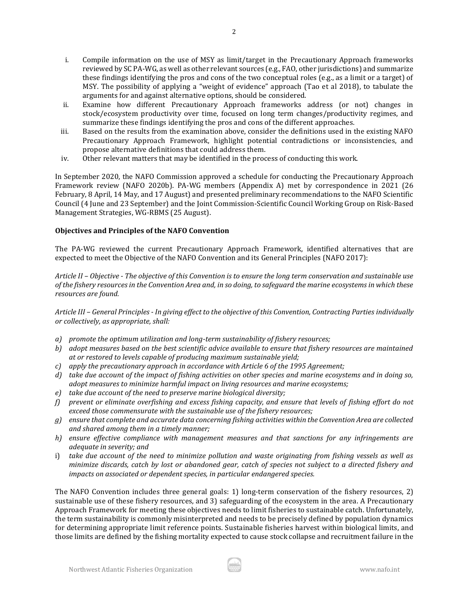- i. Compile information on the use of MSY as limit/target in the Precautionary Approach frameworks reviewed by SC PA-WG, as well as other relevant sources (e.g., FAO, other jurisdictions) and summarize these findings identifying the pros and cons of the two conceptual roles (e.g., as a limit or a target) of MSY. The possibility of applying a "weight of evidence" approach (Tao et al 2018), to tabulate the arguments for and against alternative options, should be considered.
- ii. Examine how different Precautionary Approach frameworks address (or not) changes in stock/ecosystem productivity over time, focused on long term changes/productivity regimes, and summarize these findings identifying the pros and cons of the different approaches.
- iii. Based on the results from the examination above, consider the definitions used in the existing NAFO Precautionary Approach Framework, highlight potential contradictions or inconsistencies, and propose alternative definitions that could address them.
- iv. Other relevant matters that may be identified in the process of conducting this work.

In September 2020, the NAFO Commission approved a schedule for conducting the Precautionary Approach Framework review (NAFO 2020b). PA-WG members (Appendix A) met by correspondence in 2021 (26 February, 8 April, 14 May, and 17 August) and presented preliminary recommendations to the NAFO Scientific Council (4 June and 23 September) and the Joint Commission-Scientific Council Working Group on Risk-Based Management Strategies, WG-RBMS (25 August).

#### **Objectives and Principles of the NAFO Convention**

The PA-WG reviewed the current Precautionary Approach Framework, identified alternatives that are expected to meet the Objective of the NAFO Convention and its General Principles (NAFO 2017):

*Article II – Objective - The objective of this Convention is to ensure the long term conservation and sustainable use of the fishery resources in the Convention Area and, in so doing, to safeguard the marine ecosystems in which these resources are found.*

*Article III – General Principles - In giving effect to the objective of this Convention, Contracting Parties individually or collectively, as appropriate, shall:*

- *a) promote the optimum utilization and long-term sustainability of fishery resources;*
- *b) adopt measures based on the best scientific advice available to ensure that fishery resources are maintained at or restored to levels capable of producing maximum sustainable yield;*
- *c) apply the precautionary approach in accordance with Article 6 of the 1995 Agreement;*
- *d) take due account of the impact of fishing activities on other species and marine ecosystems and in doing so, adopt measures to minimize harmful impact on living resources and marine ecosystems;*
- *e) take due account of the need to preserve marine biological diversity;*
- *f) prevent or eliminate overfishing and excess fishing capacity, and ensure that levels of fishing effort do not exceed those commensurate with the sustainable use of the fishery resources;*
- *g) ensure that complete and accurate data concerning fishing activities within the Convention Area are collected and shared among them in a timely manner;*
- *h) ensure effective compliance with management measures and that sanctions for any infringements are adequate in severity; and*
- i) *take due account of the need to minimize pollution and waste originating from fishing vessels as well as minimize discards, catch by lost or abandoned gear, catch of species not subject to a directed fishery and impacts on associated or dependent species, in particular endangered species.*

The NAFO Convention includes three general goals: 1) long-term conservation of the fishery resources, 2) sustainable use of these fishery resources, and 3) safeguarding of the ecosystem in the area. A Precautionary Approach Framework for meeting these objectives needs to limit fisheries to sustainable catch. Unfortunately, the term sustainability is commonly misinterpreted and needs to be precisely defined by population dynamics for determining appropriate limit reference points. Sustainable fisheries harvest within biological limits, and those limits are defined by the fishing mortality expected to cause stock collapse and recruitment failure in the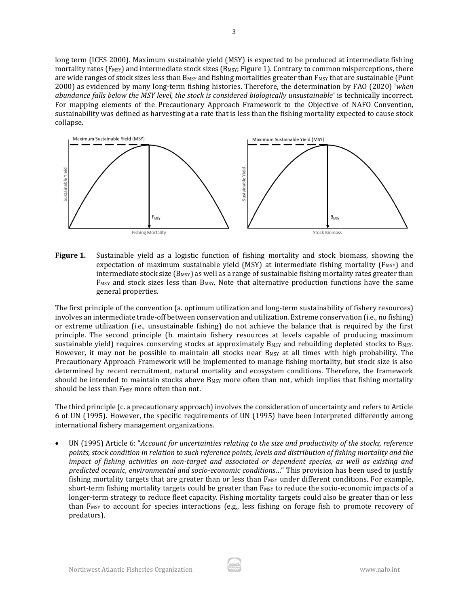long term (ICES 2000). Maximum sustainable yield (MSY) is expected to be produced at intermediate fishing mortality rates ( $F_{MSY}$ ) and intermediate stock sizes ( $B_{MSY}$ ; Figure 1). Contrary to common misperceptions, there are wide ranges of stock sizes less than B<sub>MSY</sub> and fishing mortalities greater than F<sub>MSY</sub> that are sustainable (Punt 2000) as evidenced by many long-term fishing histories. Therefore, the determination by FAO (2020) '*when abundance falls below the MSY level, the stock is considered biologically unsustainable*' is technically incorrect. For mapping elements of the Precautionary Approach Framework to the Objective of NAFO Convention, sustainability was defined as harvesting at a rate that is less than the fishing mortality expected to cause stock collapse.



**Figure 1.** Sustainable yield as a logistic function of fishing mortality and stock biomass, showing the expectation of maximum sustainable yield (MSY) at intermediate fishing mortality ( $F_{MSY}$ ) and intermediate stock size ( $B_{MSY}$ ) as well as a range of sustainable fishing mortality rates greater than F<sub>MSY</sub> and stock sizes less than B<sub>MSY</sub>. Note that alternative production functions have the same general properties.

The first principle of the convention (a. optimum utilization and long-term sustainability of fishery resources) involves an intermediate trade-off between conservation and utilization. Extreme conservation (i.e., no fishing) or extreme utilization (i.e., unsustainable fishing) do not achieve the balance that is required by the first principle. The second principle (b. maintain fishery resources at levels capable of producing maximum sustainable yield) requires conserving stocks at approximately B<sub>MSY</sub> and rebuilding depleted stocks to B<sub>MSY</sub>. However, it may not be possible to maintain all stocks near B<sub>MSY</sub> at all times with high probability. The Precautionary Approach Framework will be implemented to manage fishing mortality, but stock size is also determined by recent recruitment, natural mortality and ecosystem conditions. Therefore, the framework should be intended to maintain stocks above  $B_{MSY}$  more often than not, which implies that fishing mortality should be less than F<sub>MSY</sub> more often than not.

The third principle (c. a precautionary approach) involves the consideration of uncertainty and refers to Article 6 of UN (1995). However, the specific requirements of UN (1995) have been interpreted differently among international fishery management organizations.

• UN (1995) Article 6: "*Account for uncertainties relating to the size and productivity of the stocks, reference points, stock condition in relation to such reference points, levels and distribution of fishing mortality and the impact of fishing activities on non-target and associated or dependent species, as well as existing and predicted oceanic, environmental and socio-economic conditions*…" This provision has been used to justify fishing mortality targets that are greater than or less than  $F_{MSY}$  under different conditions. For example, short-term fishing mortality targets could be greater than F<sub>MSY</sub> to reduce the socio-economic impacts of a longer-term strategy to reduce fleet capacity. Fishing mortality targets could also be greater than or less than  $F_{MSY}$  to account for species interactions (e.g., less fishing on forage fish to promote recovery of predators).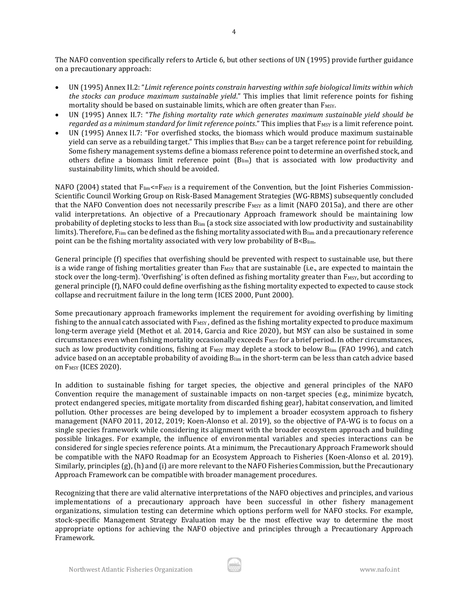The NAFO convention specifically refers to Article 6, but other sections of UN (1995) provide further guidance on a precautionary approach:

- UN (1995) Annex II.2: "*Limit reference points constrain harvesting within safe biological limits within which the stocks can produce maximum sustainable yield*." This implies that limit reference points for fishing mortality should be based on sustainable limits, which are often greater than  $F_{MSY}$ .
- UN (1995) Annex II.7: "*The fishing mortality rate which generates maximum sustainable yield should be regarded as a minimum standard for limit reference points.*" This implies that F<sub>MSY</sub> is a limit reference point.
- UN (1995) Annex II.7: "For overfished stocks, the biomass which would produce maximum sustainable yield can serve as a rebuilding target." This implies that B<sub>MSY</sub> can be a target reference point for rebuilding. Some fishery management systems define a biomass reference point to determine an overfished stock, and others define a biomass limit reference point (Blim) that is associated with low productivity and sustainability limits, which should be avoided.

NAFO (2004) stated that  $F_{\text{lim}} \leq F_{\text{MSY}}$  is a requirement of the Convention, but the Joint Fisheries Commission-Scientific Council Working Group on Risk-Based Management Strategies (WG-RBMS) subsequently concluded that the NAFO Convention does not necessarily prescribe  $F_{MSY}$  as a limit (NAFO 2015a), and there are other valid interpretations. An objective of a Precautionary Approach framework should be maintaining low probability of depleting stocks to less than Blim (a stock size associated with low productivity and sustainability limits). Therefore,  $F_{lim}$  can be defined as the fishing mortality associated with  $B_{lim}$  and a precautionary reference point can be the fishing mortality associated with very low probability of B<Blim.

General principle (f) specifies that overfishing should be prevented with respect to sustainable use, but there is a wide range of fishing mortalities greater than  $F$ <sub>MSY</sub> that are sustainable (i.e., are expected to maintain the stock over the long-term). 'Overfishing' is often defined as fishing mortality greater than  $F$ <sub>MSY</sub>, but according to general principle (f), NAFO could define overfishing as the fishing mortality expected to expected to cause stock collapse and recruitment failure in the long term (ICES 2000, Punt 2000).

Some precautionary approach frameworks implement the requirement for avoiding overfishing by limiting fishing to the annual catch associated with  $F_{MSY}$ , defined as the fishing mortality expected to produce maximum long-term average yield (Methot et al. 2014, Garcia and Rice 2020), but MSY can also be sustained in some circumstances even when fishing mortality occasionally exceeds F<sub>MSY</sub> for a brief period. In other circumstances, such as low productivity conditions, fishing at  $F$ <sub>MSY</sub> may deplete a stock to below  $B_{lim}$  (FAO 1996), and catch advice based on an acceptable probability of avoiding B<sub>lim</sub> in the short-term can be less than catch advice based on F<sub>MSY</sub> (ICES 2020).

In addition to sustainable fishing for target species, the objective and general principles of the NAFO Convention require the management of sustainable impacts on non-target species (e.g., minimize bycatch, protect endangered species, mitigate mortality from discarded fishing gear), habitat conservation, and limited pollution. Other processes are being developed by to implement a broader ecosystem approach to fishery management (NAFO 2011, 2012, 2019; Koen-Alonso et al. 2019), so the objective of PA-WG is to focus on a single species framework while considering its alignment with the broader ecosystem approach and building possible linkages. For example, the influence of environmental variables and species interactions can be considered for single species reference points. At a minimum, the Precautionary Approach Framework should be compatible with the NAFO Roadmap for an Ecosystem Approach to Fisheries (Koen-Alonso et al. 2019). Similarly, principles (g), (h) and (i) are more relevant to the NAFO Fisheries Commission, but the Precautionary Approach Framework can be compatible with broader management procedures.

Recognizing that there are valid alternative interpretations of the NAFO objectives and principles, and various implementations of a precautionary approach have been successful in other fishery management organizations, simulation testing can determine which options perform well for NAFO stocks. For example, stock-specific Management Strategy Evaluation may be the most effective way to determine the most appropriate options for achieving the NAFO objective and principles through a Precautionary Approach Framework.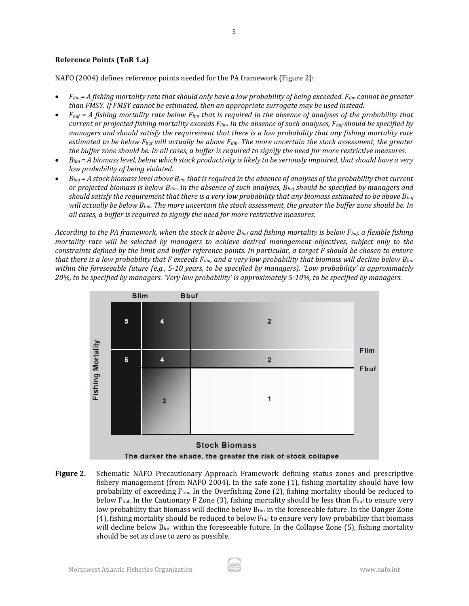## **Reference Points (ToR 1.a)**

NAFO (2004) defines reference points needed for the PA framework (Figure 2):

- *Flim = A fishing mortality rate that should only have a low probability of being exceeded. Flim cannot be greater than FMSY. If FMSY cannot be estimated, then an appropriate surrogate may be used instead.*
- *Fbuf = A fishing mortality rate below Flim that is required in the absence of analyses of the probability that current or projected fishing mortality exceeds Flim. In the absence of such analyses, Fbuf should be specified by managers and should satisfy the requirement that there is a low probability that any fishing mortality rate estimated to be below Fbuf will actually be above Flim. The more uncertain the stock assessment, the greater the buffer zone should be. In all cases, a buffer is required to signify the need for more restrictive measures.*
- *Blim = A biomass level, below which stock productivity is likely to be seriously impaired, that should have a very low probability of being violated.*
- *Bbuf = A stock biomass level above Blim that is required in the absence of analyses of the probability that current or projected biomass is below Blim. In the absence of such analyses, Bbuf should be specified by managers and should satisfy the requirement that there is a very low probability that any biomass estimated to be above Bbuf will actually be below Blim. The more uncertain the stock assessment, the greater the buffer zone should be. In all cases, a buffer is required to signify the need for more restrictive measures.*

*According to the PA framework, when the stock is above Bbuf and fishing mortality is below Fbuf, a flexible fishing mortality rate will be selected by managers to achieve desired management objectives, subject only to the constraints defined by the limit and buffer reference points. In particular, a target F should be chosen to ensure that there is a low probability that F exceeds Flim, and a very low probability that biomass will decline below Blim within the foreseeable future (e.g., 5-10 years, to be specified by managers). 'Low probability' is approximately 20%, to be specified by managers. 'Very low probability' is approximately 5-10%, to be specified by managers.*



**Figure 2.** Schematic NAFO Precautionary Approach Framework defining status zones and prescriptive fishery management (from NAFO 2004). In the safe zone (1), fishing mortality should have low probability of exceeding Flim. In the Overfishing Zone (2), fishing mortality should be reduced to below  $F_{\text{buf}}$ . In the Cautionary F Zone (3), fishing mortality should be less than  $F_{\text{buf}}$  to ensure very low probability that biomass will decline below  $B_{lim}$  in the foreseeable future. In the Danger Zone (4), fishing mortality should be reduced to below  $F_{\text{buf}}$  to ensure very low probability that biomass will decline below  $B_{\text{lim}}$  within the foreseeable future. In the Collapse Zone (5), fishing mortality should be set as close to zero as possible.

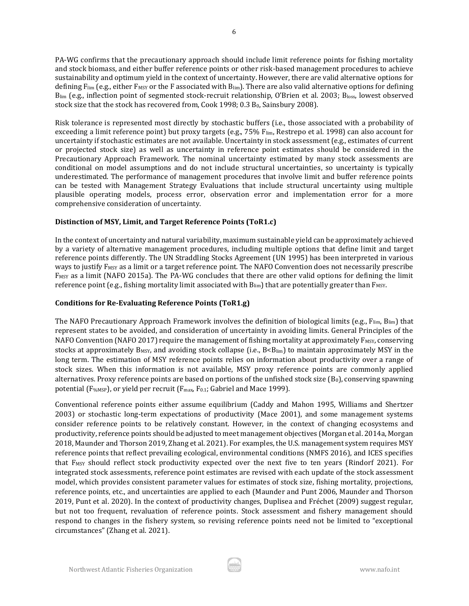PA-WG confirms that the precautionary approach should include limit reference points for fishing mortality and stock biomass, and either buffer reference points or other risk-based management procedures to achieve sustainability and optimum yield in the context of uncertainty. However, there are valid alternative options for defining  $F_{lim}$  (e.g., either  $F_{MSY}$  or the F associated with  $B_{lim}$ ). There are also valid alternative options for defining Blim (e.g., inflection point of segmented stock-recruit relationship, O'Brien et al. 2003; Bloss, lowest observed stock size that the stock has recovered from, Cook 1998; 0.3 B<sub>0</sub>, Sainsbury 2008).

Risk tolerance is represented most directly by stochastic buffers (i.e., those associated with a probability of exceeding a limit reference point) but proxy targets (e.g., 75% F<sub>lim</sub>, Restrepo et al. 1998) can also account for uncertainty if stochastic estimates are not available. Uncertainty in stock assessment (e.g., estimates of current or projected stock size) as well as uncertainty in reference point estimates should be considered in the Precautionary Approach Framework. The nominal uncertainty estimated by many stock assessments are conditional on model assumptions and do not include structural uncertainties, so uncertainty is typically underestimated. The performance of management procedures that involve limit and buffer reference points can be tested with Management Strategy Evaluations that include structural uncertainty using multiple plausible operating models, process error, observation error and implementation error for a more comprehensive consideration of uncertainty.

### **Distinction of MSY, Limit, and Target Reference Points (ToR1.c)**

In the context of uncertainty and natural variability, maximum sustainable yield can be approximately achieved by a variety of alternative management procedures, including multiple options that define limit and target reference points differently. The UN Straddling Stocks Agreement (UN 1995) has been interpreted in various ways to justify F<sub>MSY</sub> as a limit or a target reference point. The NAFO Convention does not necessarily prescribe F<sub>MSY</sub> as a limit (NAFO 2015a). The PA-WG concludes that there are other valid options for defining the limit reference point (e.g., fishing mortality limit associated with  $B_{lim}$ ) that are potentially greater than  $F_{MST}$ .

# **Conditions for Re-Evaluating Reference Points (ToR1.g)**

The NAFO Precautionary Approach Framework involves the definition of biological limits (e.g., Flim, Blim) that represent states to be avoided, and consideration of uncertainty in avoiding limits. General Principles of the NAFO Convention (NAFO 2017) require the management of fishing mortality at approximately  $F_{MSY}$ , conserving stocks at approximately B<sub>MSY</sub>, and avoiding stock collapse (i.e.,  $B < B_{lim}$ ) to maintain approximately MSY in the long term. The estimation of MSY reference points relies on information about productivity over a range of stock sizes. When this information is not available, MSY proxy reference points are commonly applied alternatives. Proxy reference points are based on portions of the unfished stock size (B<sub>0</sub>), conserving spawning potential (F<sub>%MSP</sub>), or yield per recruit (F<sub>max</sub>, F<sub>0.1</sub>; Gabriel and Mace 1999).

Conventional reference points either assume equilibrium (Caddy and Mahon 1995, Williams and Shertzer 2003) or stochastic long-term expectations of productivity (Mace 2001), and some management systems consider reference points to be relatively constant. However, in the context of changing ecosystems and productivity, reference points should be adjusted to meet management objectives (Morgan et al. 2014a, Morgan 2018, Maunder and Thorson 2019, Zhang et al. 2021). For examples, the U.S. management system requires MSY reference points that reflect prevailing ecological, environmental conditions (NMFS 2016), and ICES specifies that F<sub>MSY</sub> should reflect stock productivity expected over the next five to ten years (Rindorf 2021). For integrated stock assessments, reference point estimates are revised with each update of the stock assessment model, which provides consistent parameter values for estimates of stock size, fishing mortality, projections, reference points, etc., and uncertainties are applied to each (Maunder and Punt 2006, Maunder and Thorson 2019, Punt et al. 2020). In the context of productivity changes, Duplisea and Fréchet (2009) suggest regular, but not too frequent, revaluation of reference points. Stock assessment and fishery management should respond to changes in the fishery system, so revising reference points need not be limited to "exceptional circumstances" (Zhang et al. 2021).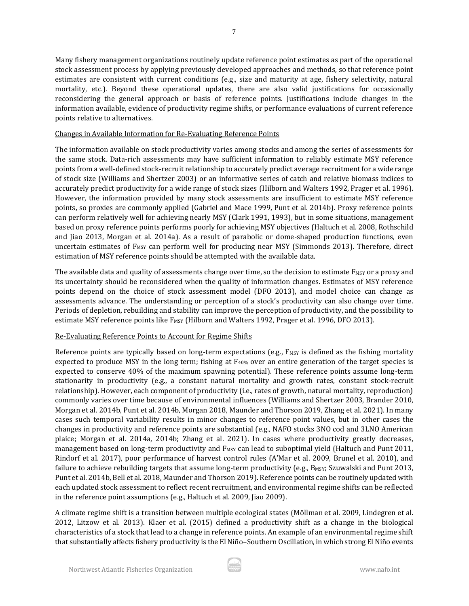Many fishery management organizations routinely update reference point estimates as part of the operational stock assessment process by applying previously developed approaches and methods, so that reference point estimates are consistent with current conditions (e.g., size and maturity at age, fishery selectivity, natural mortality, etc.). Beyond these operational updates, there are also valid justifications for occasionally reconsidering the general approach or basis of reference points. Justifications include changes in the information available, evidence of productivity regime shifts, or performance evaluations of current reference points relative to alternatives.

#### Changes in Available Information for Re-Evaluating Reference Points

The information available on stock productivity varies among stocks and among the series of assessments for the same stock. Data-rich assessments may have sufficient information to reliably estimate MSY reference points from a well-defined stock-recruit relationship to accurately predict average recruitment for a wide range of stock size (Williams and Shertzer 2003) or an informative series of catch and relative biomass indices to accurately predict productivity for a wide range of stock sizes (Hilborn and Walters 1992, Prager et al. 1996). However, the information provided by many stock assessments are insufficient to estimate MSY reference points, so proxies are commonly applied (Gabriel and Mace 1999, Punt et al. 2014b). Proxy reference points can perform relatively well for achieving nearly MSY (Clark 1991, 1993), but in some situations, management based on proxy reference points performs poorly for achieving MSY objectives (Haltuch et al. 2008, Rothschild and Jiao 2013, Morgan et al. 2014a). As a result of parabolic or dome-shaped production functions, even uncertain estimates of F<sub>MSY</sub> can perform well for producing near MSY (Simmonds 2013). Therefore, direct estimation of MSY reference points should be attempted with the available data.

The available data and quality of assessments change over time, so the decision to estimate  $F_{MSY}$  or a proxy and its uncertainty should be reconsidered when the quality of information changes. Estimates of MSY reference points depend on the choice of stock assessment model (DFO 2013), and model choice can change as assessments advance. The understanding or perception of a stock's productivity can also change over time. Periods of depletion, rebuilding and stability can improve the perception of productivity, and the possibility to estimate MSY reference points like F<sub>MSY</sub> (Hilborn and Walters 1992, Prager et al. 1996, DFO 2013).

### Re-Evaluating Reference Points to Account for Regime Shifts

Reference points are typically based on long-term expectations (e.g., F<sub>MSY</sub> is defined as the fishing mortality expected to produce MSY in the long term; fishing at  $F_{40\%}$  over an entire generation of the target species is expected to conserve 40% of the maximum spawning potential). These reference points assume long-term stationarity in productivity (e.g., a constant natural mortality and growth rates, constant stock-recruit relationship). However, each component of productivity (i.e., rates of growth, natural mortality, reproduction) commonly varies over time because of environmental influences (Williams and Shertzer 2003, Brander 2010, Morgan et al. 2014b, Punt et al. 2014b, Morgan 2018, Maunder and Thorson 2019, Zhang et al. 2021). In many cases such temporal variability results in minor changes to reference point values, but in other cases the changes in productivity and reference points are substantial (e.g., NAFO stocks 3NO cod and 3LNO American plaice; Morgan et al. 2014a, 2014b; Zhang et al. 2021). In cases where productivity greatly decreases, management based on long-term productivity and  $F_{MSY}$  can lead to suboptimal yield (Haltuch and Punt 2011, Rindorf et al. 2017), poor performance of harvest control rules (A'Mar et al. 2009, Brunel et al. 2010), and failure to achieve rebuilding targets that assume long-term productivity (e.g., B<sub>MSY</sub>; Szuwalski and Punt 2013, Punt et al. 2014b, Bell et al. 2018, Maunder and Thorson 2019). Reference points can be routinely updated with each updated stock assessment to reflect recent recruitment, and environmental regime shifts can be reflected in the reference point assumptions (e.g., Haltuch et al. 2009, Jiao 2009).

A climate regime shift is a transition between multiple ecological states (Möllman et al. 2009, Lindegren et al. 2012, Litzow et al. 2013). Klaer et al. (2015) defined a productivity shift as a change in the biological characteristics of a stock that lead to a change in reference points. An example of an environmental regime shift that substantially affects fishery productivity is the El Niño–Southern Oscillation, in which strong El Niño events

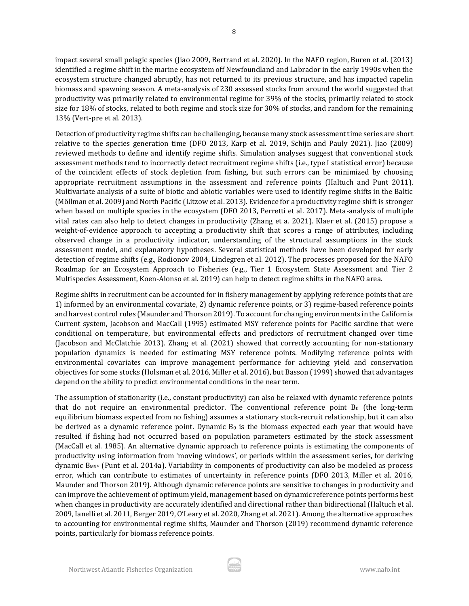impact several small pelagic species (Jiao 2009, Bertrand et al. 2020). In the NAFO region, Buren et al. (2013) identified a regime shift in the marine ecosystem off Newfoundland and Labrador in the early 1990s when the ecosystem structure changed abruptly, has not returned to its previous structure, and has impacted capelin biomass and spawning season. A meta-analysis of 230 assessed stocks from around the world suggested that productivity was primarily related to environmental regime for 39% of the stocks, primarily related to stock size for 18% of stocks, related to both regime and stock size for 30% of stocks, and random for the remaining 13% (Vert-pre et al. 2013).

Detection of productivity regime shifts can be challenging, because many stock assessment time series are short relative to the species generation time (DFO 2013, Karp et al. 2019, Schijn and Pauly 2021). Jiao (2009) reviewed methods to define and identify regime shifts. Simulation analyses suggest that conventional stock assessment methods tend to incorrectly detect recruitment regime shifts (i.e., type I statistical error) because of the coincident effects of stock depletion from fishing, but such errors can be minimized by choosing appropriate recruitment assumptions in the assessment and reference points (Haltuch and Punt 2011). Multivariate analysis of a suite of biotic and abiotic variables were used to identify regime shifts in the Baltic (Möllman et al. 2009) and North Pacific (Litzow et al. 2013). Evidence for a productivity regime shift is stronger when based on multiple species in the ecosystem (DFO 2013, Perretti et al. 2017). Meta-analysis of multiple vital rates can also help to detect changes in productivity (Zhang et a. 2021). Klaer et al. (2015) propose a weight-of-evidence approach to accepting a productivity shift that scores a range of attributes, including observed change in a productivity indicator, understanding of the structural assumptions in the stock assessment model, and explanatory hypotheses. Several statistical methods have been developed for early detection of regime shifts (e.g., Rodionov 2004, Lindegren et al. 2012). The processes proposed for the NAFO Roadmap for an Ecosystem Approach to Fisheries (e.g., Tier 1 Ecosystem State Assessment and Tier 2 Multispecies Assessment, Koen-Alonso et al. 2019) can help to detect regime shifts in the NAFO area.

Regime shifts in recruitment can be accounted for in fishery management by applying reference points that are 1) informed by an environmental covariate, 2) dynamic reference points, or 3) regime-based reference points and harvest control rules (Maunder and Thorson 2019). To account for changing environments in the California Current system, Jacobson and MacCall (1995) estimated MSY reference points for Pacific sardine that were conditional on temperature, but environmental effects and predictors of recruitment changed over time (Jacobson and McClatchie 2013). Zhang et al. (2021) showed that correctly accounting for non-stationary population dynamics is needed for estimating MSY reference points. Modifying reference points with environmental covariates can improve management performance for achieving yield and conservation objectives for some stocks (Holsman et al. 2016, Miller et al. 2016), but Basson (1999) showed that advantages depend on the ability to predict environmental conditions in the near term.

The assumption of stationarity (i.e., constant productivity) can also be relaxed with dynamic reference points that do not require an environmental predictor. The conventional reference point  $B_0$  (the long-term equilibrium biomass expected from no fishing) assumes a stationary stock-recruit relationship, but it can also be derived as a dynamic reference point. Dynamic  $B_0$  is the biomass expected each year that would have resulted if fishing had not occurred based on population parameters estimated by the stock assessment (MacCall et al. 1985). An alternative dynamic approach to reference points is estimating the components of productivity using information from 'moving windows', or periods within the assessment series, for deriving dynamic BMSY (Punt et al. 2014a). Variability in components of productivity can also be modeled as process error, which can contribute to estimates of uncertainty in reference points (DFO 2013, Miller et al. 2016, Maunder and Thorson 2019). Although dynamic reference points are sensitive to changes in productivity and can improve the achievement of optimum yield, management based on dynamic reference points performs best when changes in productivity are accurately identified and directional rather than bidirectional (Haltuch et al. 2009, Ianelli et al. 2011, Berger 2019, O'Leary et al. 2020, Zhang et al. 2021). Among the alternative approaches to accounting for environmental regime shifts, Maunder and Thorson (2019) recommend dynamic reference points, particularly for biomass reference points.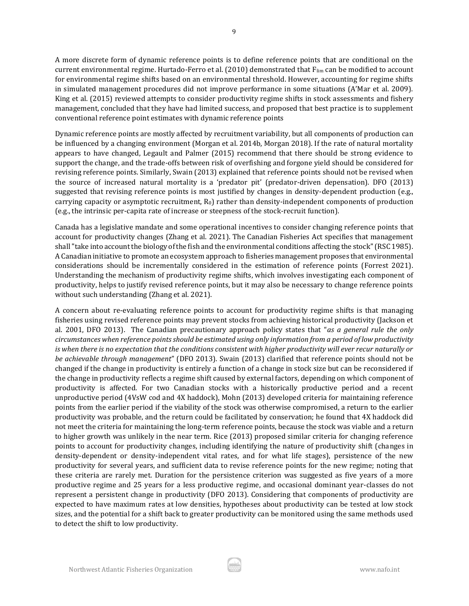A more discrete form of dynamic reference points is to define reference points that are conditional on the current environmental regime. Hurtado-Ferro et al. (2010) demonstrated that Flim can be modified to account for environmental regime shifts based on an environmental threshold. However, accounting for regime shifts in simulated management procedures did not improve performance in some situations (A'Mar et al. 2009). King et al. (2015) reviewed attempts to consider productivity regime shifts in stock assessments and fishery management, concluded that they have had limited success, and proposed that best practice is to supplement conventional reference point estimates with dynamic reference points

Dynamic reference points are mostly affected by recruitment variability, but all components of production can be influenced by a changing environment (Morgan et al. 2014b, Morgan 2018). If the rate of natural mortality appears to have changed, Legault and Palmer (2015) recommend that there should be strong evidence to support the change, and the trade-offs between risk of overfishing and forgone yield should be considered for revising reference points. Similarly, Swain (2013) explained that reference points should not be revised when the source of increased natural mortality is a 'predator pit' (predator-driven depensation). DFO (2013) suggested that revising reference points is most justified by changes in density-dependent production (e.g., carrying capacity or asymptotic recruitment,  $R_0$ ) rather than density-independent components of production (e.g., the intrinsic per-capita rate of increase or steepness of the stock-recruit function).

Canada has a legislative mandate and some operational incentives to consider changing reference points that account for productivity changes (Zhang et al. 2021). The Canadian Fisheries Act specifies that management shall "take into account the biology of the fish and the environmental conditions affecting the stock" (RSC 1985). A Canadian initiative to promote an ecosystem approach to fisheries management proposes that environmental considerations should be incrementally considered in the estimation of reference points (Forrest 2021). Understanding the mechanism of productivity regime shifts, which involves investigating each component of productivity, helps to justify revised reference points, but it may also be necessary to change reference points without such understanding (Zhang et al. 2021).

A concern about re-evaluating reference points to account for productivity regime shifts is that managing fisheries using revised reference points may prevent stocks from achieving historical productivity (Jackson et al. 2001, DFO 2013). The Canadian precautionary approach policy states that "*as a general rule the only circumstances when reference points should be estimated using only information from a period of low productivity is when there is no expectation that the conditions consistent with higher productivity will ever recur naturally or be achievable through management*" (DFO 2013). Swain (2013) clarified that reference points should not be changed if the change in productivity is entirely a function of a change in stock size but can be reconsidered if the change in productivity reflects a regime shift caused by external factors, depending on which component of productivity is affected. For two Canadian stocks with a historically productive period and a recent unproductive period (4VsW cod and 4X haddock), Mohn (2013) developed criteria for maintaining reference points from the earlier period if the viability of the stock was otherwise compromised, a return to the earlier productivity was probable, and the return could be facilitated by conservation; he found that 4X haddock did not meet the criteria for maintaining the long-term reference points, because the stock was viable and a return to higher growth was unlikely in the near term. Rice (2013) proposed similar criteria for changing reference points to account for productivity changes, including identifying the nature of productivity shift (changes in density-dependent or density-independent vital rates, and for what life stages), persistence of the new productivity for several years, and sufficient data to revise reference points for the new regime; noting that these criteria are rarely met. Duration for the persistence criterion was suggested as five years of a more productive regime and 25 years for a less productive regime, and occasional dominant year-classes do not represent a persistent change in productivity (DFO 2013). Considering that components of productivity are expected to have maximum rates at low densities, hypotheses about productivity can be tested at low stock sizes, and the potential for a shift back to greater productivity can be monitored using the same methods used to detect the shift to low productivity.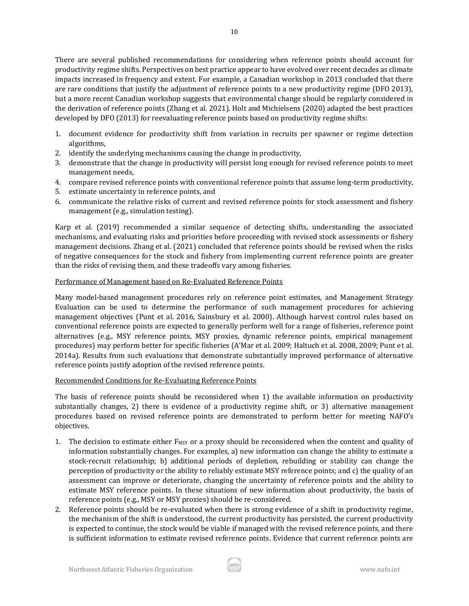There are several published recommendations for considering when reference points should account for productivity regime shifts. Perspectives on best practice appear to have evolved over recent decades as climate impacts increased in frequency and extent. For example, a Canadian workshop in 2013 concluded that there are rare conditions that justify the adjustment of reference points to a new productivity regime (DFO 2013), but a more recent Canadian workshop suggests that environmental change should be regularly considered in the derivation of reference points (Zhang et al. 2021). Holt and Michielsens (2020) adapted the best practices developed by DFO (2013) for reevaluating reference points based on productivity regime shifts:

- 1. document evidence for productivity shift from variation in recruits per spawner or regime detection algorithms,
- 2. identify the underlying mechanisms causing the change in productivity,
- 3. demonstrate that the change in productivity will persist long enough for revised reference points to meet management needs,
- 4. compare revised reference points with conventional reference points that assume long-term productivity,
- 5. estimate uncertainty in reference points, and
- 6. communicate the relative risks of current and revised reference points for stock assessment and fishery management (e.g., simulation testing).

Karp et al. (2019) recommended a similar sequence of detecting shifts, understanding the associated mechanisms, and evaluating risks and priorities before proceeding with revised stock assessments or fishery management decisions. Zhang et al. (2021) concluded that reference points should be revised when the risks of negative consequences for the stock and fishery from implementing current reference points are greater than the risks of revising them, and these tradeoffs vary among fisheries.

### Performance of Management based on Re-Evaluated Reference Points

Many model-based management procedures rely on reference point estimates, and Management Strategy Evaluation can be used to determine the performance of such management procedures for achieving management objectives (Punt et al. 2016, Sainsbury et al. 2000). Although harvest control rules based on conventional reference points are expected to generally perform well for a range of fisheries, reference point alternatives (e.g., MSY reference points, MSY proxies, dynamic reference points, empirical management procedures) may perform better for specific fisheries (A'Mar et al. 2009; Haltuch et al. 2008, 2009; Punt et al. 2014a). Results from such evaluations that demonstrate substantially improved performance of alternative reference points justify adoption of the revised reference points.

### Recommended Conditions for Re-Evaluating Reference Points

The basis of reference points should be reconsidered when 1) the available information on productivity substantially changes, 2) there is evidence of a productivity regime shift, or 3) alternative management procedures based on revised reference points are demonstrated to perform better for meeting NAFO's objectives.

- 1. The decision to estimate either  $F$ <sub>MSY</sub> or a proxy should be reconsidered when the content and quality of information substantially changes. For examples, a) new information can change the ability to estimate a stock-recruit relationship; b) additional periods of depletion, rebuilding or stability can change the perception of productivity or the ability to reliably estimate MSY reference points; and c) the quality of an assessment can improve or deteriorate, changing the uncertainty of reference points and the ability to estimate MSY reference points. In these situations of new information about productivity, the basis of reference points (e.g., MSY or MSY proxies) should be re-considered.
- 2. Reference points should be re-evaluated when there is strong evidence of a shift in productivity regime, the mechanism of the shift is understood, the current productivity has persisted, the current productivity is expected to continue, the stock would be viable if managed with the revised reference points, and there is sufficient information to estimate revised reference points. Evidence that current reference points are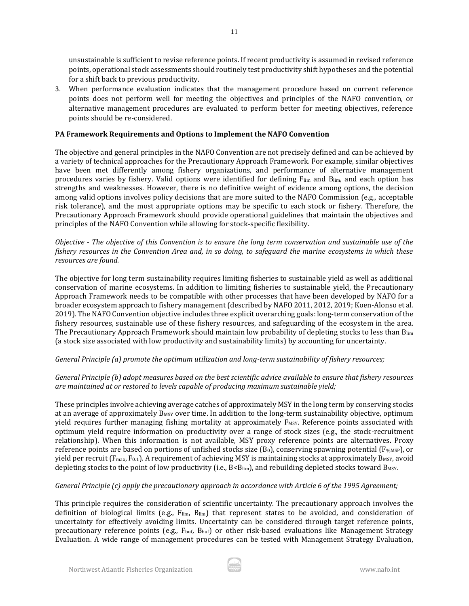unsustainable is sufficient to revise reference points. If recent productivity is assumed in revised reference points, operational stock assessments should routinely test productivity shift hypotheses and the potential for a shift back to previous productivity.

3. When performance evaluation indicates that the management procedure based on current reference points does not perform well for meeting the objectives and principles of the NAFO convention, or alternative management procedures are evaluated to perform better for meeting objectives, reference points should be re-considered.

11

## **PA Framework Requirements and Options to Implement the NAFO Convention**

The objective and general principles in the NAFO Convention are not precisely defined and can be achieved by a variety of technical approaches for the Precautionary Approach Framework. For example, similar objectives have been met differently among fishery organizations, and performance of alternative management procedures varies by fishery. Valid options were identified for defining Flim and Blim, and each option has strengths and weaknesses. However, there is no definitive weight of evidence among options, the decision among valid options involves policy decisions that are more suited to the NAFO Commission (e.g., acceptable risk tolerance), and the most appropriate options may be specific to each stock or fishery. Therefore, the Precautionary Approach Framework should provide operational guidelines that maintain the objectives and principles of the NAFO Convention while allowing for stock-specific flexibility.

*Objective - The objective of this Convention is to ensure the long term conservation and sustainable use of the fishery resources in the Convention Area and, in so doing, to safeguard the marine ecosystems in which these resources are found.*

The objective for long term sustainability requires limiting fisheries to sustainable yield as well as additional conservation of marine ecosystems. In addition to limiting fisheries to sustainable yield, the Precautionary Approach Framework needs to be compatible with other processes that have been developed by NAFO for a broader ecosystem approach to fishery management (described by NAFO 2011, 2012, 2019; Koen-Alonso et al. 2019). The NAFO Convention objective includes three explicit overarching goals: long-term conservation of the fishery resources, sustainable use of these fishery resources, and safeguarding of the ecosystem in the area. The Precautionary Approach Framework should maintain low probability of depleting stocks to less than Blim (a stock size associated with low productivity and sustainability limits) by accounting for uncertainty.

### *General Principle (a) promote the optimum utilization and long-term sustainability of fishery resources;*

### *General Principle (b) adopt measures based on the best scientific advice available to ensure that fishery resources are maintained at or restored to levels capable of producing maximum sustainable yield;*

These principles involve achieving average catches of approximately MSY in the long term by conserving stocks at an average of approximately B<sub>MSY</sub> over time. In addition to the long-term sustainability objective, optimum yield requires further managing fishing mortality at approximately  $F_{MSY}$ . Reference points associated with optimum yield require information on productivity over a range of stock sizes (e.g., the stock-recruitment relationship). When this information is not available, MSY proxy reference points are alternatives. Proxy reference points are based on portions of unfished stocks size  $(B_0)$ , conserving spawning potential (F<sub>%MSP</sub>), or yield per recruit ( $F_{\text{max}}$ ,  $F_{0.1}$ ). A requirement of achieving MSY is maintaining stocks at approximately  $B_{\text{MSY}}$ , avoid depleting stocks to the point of low productivity (i.e., B<B<sub>lim</sub>), and rebuilding depleted stocks toward B<sub>MSY</sub>.

### *General Principle (c) apply the precautionary approach in accordance with Article 6 of the 1995 Agreement;*

This principle requires the consideration of scientific uncertainty. The precautionary approach involves the definition of biological limits (e.g.,  $F_{\text{lim}}$ ,  $B_{\text{lim}}$ ) that represent states to be avoided, and consideration of uncertainty for effectively avoiding limits. Uncertainty can be considered through target reference points, precautionary reference points (e.g., Fbuf, Bbuf) or other risk-based evaluations like Management Strategy Evaluation. A wide range of management procedures can be tested with Management Strategy Evaluation,

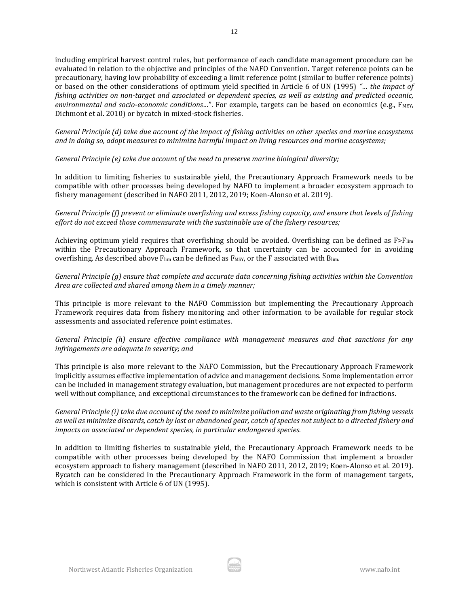including empirical harvest control rules, but performance of each candidate management procedure can be evaluated in relation to the objective and principles of the NAFO Convention. Target reference points can be precautionary, having low probability of exceeding a limit reference point (similar to buffer reference points) or based on the other considerations of optimum yield specified in Article 6 of UN (1995) *"… the impact of fishing activities on non-target and associated or dependent species, as well as existing and predicted oceanic, environmental and socio-economic conditions...*". For example, targets can be based on economics (e.g., F<sub>MEY</sub>, Dichmont et al. 2010) or bycatch in mixed-stock fisheries.

*General Principle (d) take due account of the impact of fishing activities on other species and marine ecosystems and in doing so, adopt measures to minimize harmful impact on living resources and marine ecosystems;*

*General Principle (e) take due account of the need to preserve marine biological diversity;*

In addition to limiting fisheries to sustainable yield, the Precautionary Approach Framework needs to be compatible with other processes being developed by NAFO to implement a broader ecosystem approach to fishery management (described in NAFO 2011, 2012, 2019; Koen-Alonso et al. 2019).

*General Principle (f) prevent or eliminate overfishing and excess fishing capacity, and ensure that levels of fishing effort do not exceed those commensurate with the sustainable use of the fishery resources;*

Achieving optimum yield requires that overfishing should be avoided. Overfishing can be defined as  $F > F_{lim}$ within the Precautionary Approach Framework, so that uncertainty can be accounted for in avoiding overfishing. As described above  $F_{\text{lim}}$  can be defined as  $F_{\text{MSY}}$ , or the F associated with  $B_{\text{lim}}$ .

*General Principle (g) ensure that complete and accurate data concerning fishing activities within the Convention Area are collected and shared among them in a timely manner;*

This principle is more relevant to the NAFO Commission but implementing the Precautionary Approach Framework requires data from fishery monitoring and other information to be available for regular stock assessments and associated reference point estimates.

*General Principle (h) ensure effective compliance with management measures and that sanctions for any infringements are adequate in severity; and* 

This principle is also more relevant to the NAFO Commission, but the Precautionary Approach Framework implicitly assumes effective implementation of advice and management decisions. Some implementation error can be included in management strategy evaluation, but management procedures are not expected to perform well without compliance, and exceptional circumstances to the framework can be defined for infractions.

*General Principle (i) take due account of the need to minimize pollution and waste originating from fishing vessels as well as minimize discards, catch by lost or abandoned gear, catch of species not subject to a directed fishery and impacts on associated or dependent species, in particular endangered species.*

In addition to limiting fisheries to sustainable yield, the Precautionary Approach Framework needs to be compatible with other processes being developed by the NAFO Commission that implement a broader ecosystem approach to fishery management (described in NAFO 2011, 2012, 2019; Koen-Alonso et al. 2019). Bycatch can be considered in the Precautionary Approach Framework in the form of management targets, which is consistent with Article 6 of UN (1995).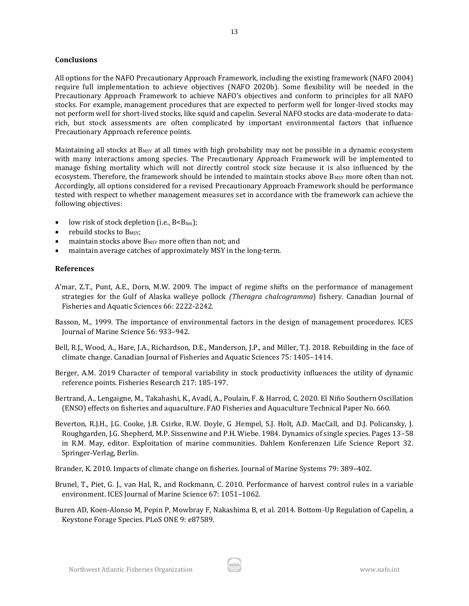#### **Conclusions**

All options for the NAFO Precautionary Approach Framework, including the existing framework (NAFO 2004) require full implementation to achieve objectives (NAFO 2020b). Some flexibility will be needed in the Precautionary Approach Framework to achieve NAFO's objectives and conform to principles for all NAFO stocks. For example, management procedures that are expected to perform well for longer-lived stocks may not perform well for short-lived stocks, like squid and capelin. Several NAFO stocks are data-moderate to datarich, but stock assessments are often complicated by important environmental factors that influence Precautionary Approach reference points.

Maintaining all stocks at  $B_{MSY}$  at all times with high probability may not be possible in a dynamic ecosystem with many interactions among species. The Precautionary Approach Framework will be implemented to manage fishing mortality which will not directly control stock size because it is also influenced by the ecosystem. Therefore, the framework should be intended to maintain stocks above B<sub>MSY</sub> more often than not. Accordingly, all options considered for a revised Precautionary Approach Framework should be performance tested with respect to whether management measures set in accordance with the framework can achieve the following objectives:

- low risk of stock depletion (i.e., B<Blim);
- rebuild stocks to B<sub>MSY</sub>:
- maintain stocks above B<sub>MSY</sub> more often than not; and
- maintain average catches of approximately MSY in the long-term.

#### **References**

- A'mar, Z.T., Punt, A.E., Dorn, M.W. 2009. The impact of regime shifts on the performance of management strategies for the Gulf of Alaska walleye pollock *(Theragra chalcogramma*) fishery. Canadian Journal of Fisheries and Aquatic Sciences 66: 2222-2242.
- Basson, M., 1999. The importance of environmental factors in the design of management procedures. ICES Journal of Marine Science 56: 933–942.
- Bell, R.J., Wood, A., Hare, J.A., Richardson, D.E., Manderson, J.P., and Miller, T.J. 2018. Rebuilding in the face of climate change. Canadian Journal of Fisheries and Aquatic Sciences 75: 1405–1414.
- Berger, A.M. 2019 Character of temporal variability in stock productivity influences the utility of dynamic reference points. Fisheries Research 217: 185-197.

Bertrand, A., Lengaigne, M., Takahashi, K., Avadí, A., Poulain, F. & Harrod, C. 2020. El Niño Southern Oscillation (ENSO) effects on fisheries and aquaculture. FAO Fisheries and Aquaculture Technical Paper No. 660.

Beverton, R.J.H., J.G. Cooke, J.B. Csirke, R.W. Doyle, G .Hempel, S.J. Holt, A.D. MacCall, and D.J. Policansky, J. Roughgarden, J.G. Shepherd, M.P. Sissenwine and P.H. Wiebe. 1984. Dynamics of single species. Pages 13–58 in R.M. May, editor. Exploitation of marine communities. Dahlem Konferenzen Life Science Report 32. Springer-Verlag, Berlin.

Brander, K. 2010. Impacts of climate change on fisheries. Journal of Marine Systems 79: 389–402.

- Brunel, T., Piet, G. J., van Hal, R., and Rockmann, C. 2010. Performance of harvest control rules in a variable environment. ICES Journal of Marine Science 67: 1051–1062.
- Buren AD, Koen-Alonso M, Pepin P, Mowbray F, Nakashima B, et al. 2014. Bottom-Up Regulation of Capelin, a Keystone Forage Species. PLoS ONE 9: e87589.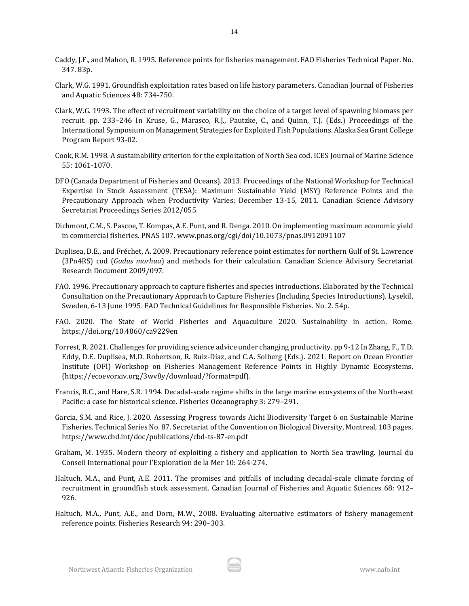- Caddy, J.F., and Mahon, R. 1995. Reference points for fisheries management. FAO Fisheries Technical Paper. No. 347. 83p.
- Clark, W.G. 1991. Groundfish exploitation rates based on life history parameters. Canadian Journal of Fisheries and Aquatic Sciences 48: 734-750.
- Clark, W.G. 1993. The effect of recruitment variability on the choice of a target level of spawning biomass per recruit. pp. 233–246 In Kruse, G., Marasco, R.J., Pautzke, C., and Quinn, T.J. (Eds.) Proceedings of the International Symposium on Management Strategies for Exploited Fish Populations. Alaska Sea Grant College Program Report 93-02.
- Cook, R.M. 1998. A sustainability criterion for the exploitation of North Sea cod. ICES Journal of Marine Science 55: 1061-1070.
- DFO (Canada Department of Fisheries and Oceans). 2013. Proceedings of the National Workshop for Technical Expertise in Stock Assessment (TESA): Maximum Sustainable Yield (MSY) Reference Points and the Precautionary Approach when Productivity Varies; December 13-15, 2011. Canadian Science Advisory Secretariat Proceedings Series 2012/055.
- Dichmont, C.M., S. Pascoe, T. Kompas, A.E. Punt, and R. Denga. 2010. On implementing maximum economic yield in commercial fisheries. PNAS 107. www.pnas.org/cgi/doi/10.1073/pnas.0912091107
- Duplisea, D.E., and Fréchet, A. 2009. Precautionary reference point estimates for northern Gulf of St. Lawrence (3Pn4RS) cod (*Gadus morhua*) and methods for their calculation. Canadian Science Advisory Secretariat Research Document 2009/097.
- FAO. 1996. Precautionary approach to capture fisheries and species introductions. Elaborated by the Technical Consultation on the Precautionary Approach to Capture Fisheries (Including Species Introductions). Lysekil, Sweden, 6-13 June 1995. FAO Technical Guidelines for Responsible Fisheries. No. 2. 54p.
- FAO. 2020. The State of World Fisheries and Aquaculture 2020. Sustainability in action. Rome. https://doi.org/10.4060/ca9229en
- Forrest, R. 2021. Challenges for providing science advice under changing productivity. pp 9-12 In Zhang, F., T.D. Eddy, D.E. Duplisea, M.D. Robertson, R. Ruiz-Díaz, and C.A. Solberg (Eds.). 2021. Report on Ocean Frontier Institute (OFI) Workshop on Fisheries Management Reference Points in Highly Dynamic Ecosystems. (https://ecoevorxiv.org/3wv8y/download/?format=pdf).
- Francis, R.C., and Hare, S.R. 1994. Decadal-scale regime shifts in the large marine ecosystems of the North-east Pacific: a case for historical science. Fisheries Oceanography 3: 279–291.
- Garcia, S.M. and Rice, J. 2020. Assessing Progress towards Aichi Biodiversity Target 6 on Sustainable Marine Fisheries. Technical Series No. 87. Secretariat of the Convention on Biological Diversity, Montreal, 103 pages. https://www.cbd.int/doc/publications/cbd-ts-87-en.pdf
- Graham, M. 1935. Modern theory of exploiting a fishery and application to North Sea trawling. Journal du Conseil International pour l'Exploration de la Mer 10: 264‐274.
- Haltuch, M.A., and Punt, A.E. 2011. The promises and pitfalls of including decadal-scale climate forcing of recruitment in groundfish stock assessment. Canadian Journal of Fisheries and Aquatic Sciences 68: 912– 926.
- Haltuch, M.A., Punt, A.E., and Dorn, M.W., 2008. Evaluating alternative estimators of fishery management reference points. Fisheries Research 94: 290–303.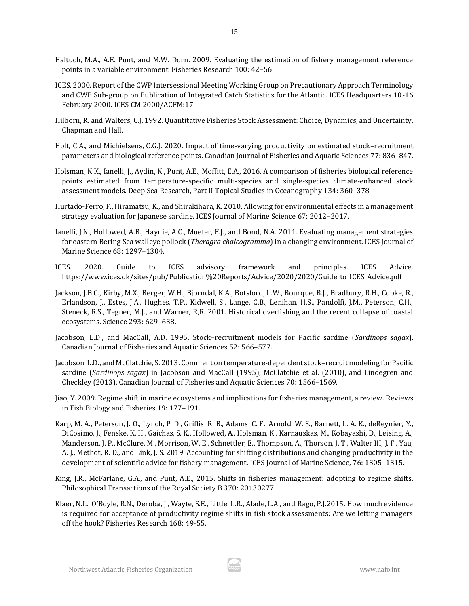- ICES. 2000. Report of the CWP Intersessional Meeting Working Group on Precautionary Approach Terminology and CWP Sub-group on Publication of Integrated Catch Statistics for the Atlantic. ICES Headquarters 10-16 February 2000. ICES CM 2000/ACFM:17.
- Hilborn, R. and Walters, C.J. 1992. Quantitative Fisheries Stock Assessment: Choice, Dynamics, and Uncertainty. Chapman and Hall.
- Holt, C.A., and Michielsens, C.G.J. 2020. Impact of time-varying productivity on estimated stock–recruitment parameters and biological reference points. Canadian Journal of Fisheries and Aquatic Sciences 77: 836–847.
- Holsman, K.K., Ianelli, J., Aydin, K., Punt, A.E., Moffitt, E.A., 2016. A comparison of fisheries biological reference points estimated from temperature-specific multi-species and single-species climate-enhanced stock assessment models. Deep Sea Research, Part II Topical Studies in Oceanography 134: 360–378.
- Hurtado-Ferro, F., Hiramatsu, K., and Shirakihara, K. 2010. Allowing for environmental effects in a management strategy evaluation for Japanese sardine. ICES Journal of Marine Science 67: 2012–2017.
- Ianelli, J.N., Hollowed, A.B., Haynie, A.C., Mueter, F.J., and Bond, N.A. 2011. Evaluating management strategies for eastern Bering Sea walleye pollock (*Theragra chalcogramma*) in a changing environment. ICES Journal of Marine Science 68: 1297–1304.
- ICES. 2020. Guide to ICES advisory framework and principles. ICES Advice. https://www.ices.dk/sites/pub/Publication%20Reports/Advice/2020/2020/Guide\_to\_ICES\_Advice.pdf
- Jackson, J.B.C., Kirby, M.X., Berger, W.H., Bjorndal, K.A., Botsford, L.W., Bourque, B.J., Bradbury, R.H., Cooke, R., Erlandson, J., Estes, J.A., Hughes, T.P., Kidwell, S., Lange, C.B., Lenihan, H.S., Pandolfi, J.M., Peterson, C.H., Steneck, R.S., Tegner, M.J., and Warner, R,R. 2001. Historical overfishing and the recent collapse of coastal ecosystems. Science 293: 629–638.
- Jacobson, L.D., and MacCall, A.D. 1995. Stock–recruitment models for Pacific sardine (*Sardinops sagax*). Canadian Journal of Fisheries and Aquatic Sciences 52: 566–577.
- Jacobson, L.D., and McClatchie, S. 2013. Comment on temperature-dependent stock–recruit modeling for Pacific sardine (*Sardinops sagax*) in Jacobson and MacCall (1995), McClatchie et al. (2010), and Lindegren and Checkley (2013). Canadian Journal of Fisheries and Aquatic Sciences 70: 1566–1569.
- Jiao, Y. 2009. Regime shift in marine ecosystems and implications for fisheries management, a review. Reviews in Fish Biology and Fisheries 19: 177–191.
- Karp, M. A., Peterson, J. O., Lynch, P. D., Griffis, R. B., Adams, C. F., Arnold, W. S., Barnett, L. A. K., deReynier, Y., DiCosimo, J., Fenske, K. H., Gaichas, S. K., Hollowed, A., Holsman, K., Karnauskas, M., Kobayashi, D., Leising, A., Manderson, J. P., McClure, M., Morrison, W. E., Schnettler, E., Thompson, A., Thorson, J. T., Walter III, J. F., Yau, A. J., Methot, R. D., and Link, J. S. 2019. Accounting for shifting distributions and changing productivity in the development of scientific advice for fishery management. ICES Journal of Marine Science, 76: 1305–1315.
- King, J.R., McFarlane, G.A., and Punt, A.E., 2015. Shifts in fisheries management: adopting to regime shifts. Philosophical Transactions of the Royal Society B 370: 20130277.
- Klaer, N.L., O'Boyle, R.N., Deroba, J., Wayte, S.E., Little, L.R., Alade, L.A., and Rago, P.J.2015. How much evidence is required for acceptance of productivity regime shifts in fish stock assessments: Are we letting managers off the hook? Fisheries Research 168: 49-55.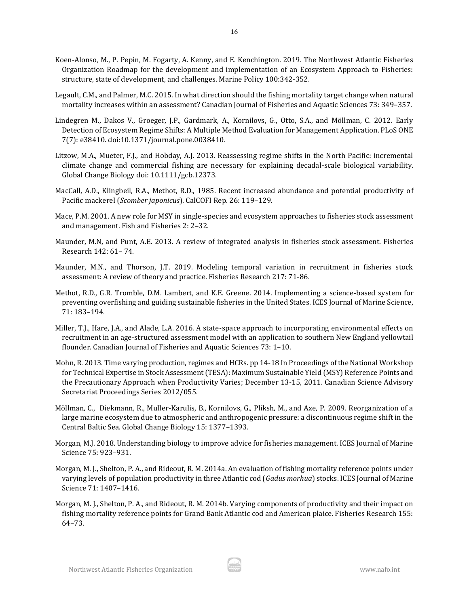- Koen-Alonso, M., P. Pepin, M. Fogarty, A. Kenny, and E. Kenchington. 2019. The Northwest Atlantic Fisheries Organization Roadmap for the development and implementation of an Ecosystem Approach to Fisheries: structure, state of development, and challenges. Marine Policy 100:342-352.
- Legault, C.M., and Palmer, M.C. 2015. In what direction should the fishing mortality target change when natural mortality increases within an assessment? Canadian Journal of Fisheries and Aquatic Sciences 73: 349–357.
- Lindegren M., Dakos V., Groeger, J.P., Gardmark, A., Kornilovs, G., Otto, S.A., and Möllman, C. 2012. Early Detection of Ecosystem Regime Shifts: A Multiple Method Evaluation for Management Application. PLoS ONE 7(7): e38410. doi:10.1371/journal.pone.0038410.
- Litzow, M.A., Mueter, F.J., and Hobday, A.J. 2013. Reassessing regime shifts in the North Pacific: incremental climate change and commercial fishing are necessary for explaining decadal-scale biological variability. Global Change Biology doi: 10.1111/gcb.12373.
- MacCall, A.D., Klingbeil, R.A., Methot, R.D., 1985. Recent increased abundance and potential productivity of Pacific mackerel (*Scomber japonicus*). CalCOFI Rep. 26: 119–129.
- Mace, P.M. 2001. A new role for MSY in single-species and ecosystem approaches to fisheries stock assessment and management. Fish and Fisheries 2: 2–32.
- Maunder, M.N, and Punt, A.E. 2013. A review of integrated analysis in fisheries stock assessment. Fisheries Research 142: 61– 74.
- Maunder, M.N., and Thorson, J.T. 2019. Modeling temporal variation in recruitment in fisheries stock assessment: A review of theory and practice. Fisheries Research 217: 71-86.
- Methot, R.D., G.R. Tromble, D.M. Lambert, and K.E. Greene. 2014. Implementing a science-based system for preventing overfishing and guiding sustainable fisheries in the United States. ICES Journal of Marine Science, 71: 183–194.
- Miller, T.J., Hare, J.A., and Alade, L.A. 2016. A state-space approach to incorporating environmental effects on recruitment in an age-structured assessment model with an application to southern New England yellowtail flounder. Canadian Journal of Fisheries and Aquatic Sciences 73: 1–10.
- Mohn, R. 2013. Time varying production, regimes and HCRs. pp 14-18 In Proceedings of the National Workshop for Technical Expertise in Stock Assessment (TESA): Maximum Sustainable Yield (MSY) Reference Points and the Precautionary Approach when Productivity Varies; December 13-15, 2011. Canadian Science Advisory Secretariat Proceedings Series 2012/055.
- Möllman, C., Diekmann, R., Muller-Karulis, B., Kornilovs, G., Pliksh, M., and Axe, P. 2009. Reorganization of a large marine ecosystem due to atmospheric and anthropogenic pressure: a discontinuous regime shift in the Central Baltic Sea. Global Change Biology 15: 1377–1393.
- Morgan, M.J. 2018. Understanding biology to improve advice for fisheries management. ICES Journal of Marine Science 75: 923–931.
- Morgan, M. J., Shelton, P. A., and Rideout, R. M. 2014a. An evaluation of fishing mortality reference points under varying levels of population productivity in three Atlantic cod (*Gadus morhua*) stocks. ICES Journal of Marine Science 71: 1407–1416.
- Morgan, M. J., Shelton, P. A., and Rideout, R. M. 2014b. Varying components of productivity and their impact on fishing mortality reference points for Grand Bank Atlantic cod and American plaice. Fisheries Research 155: 64–73.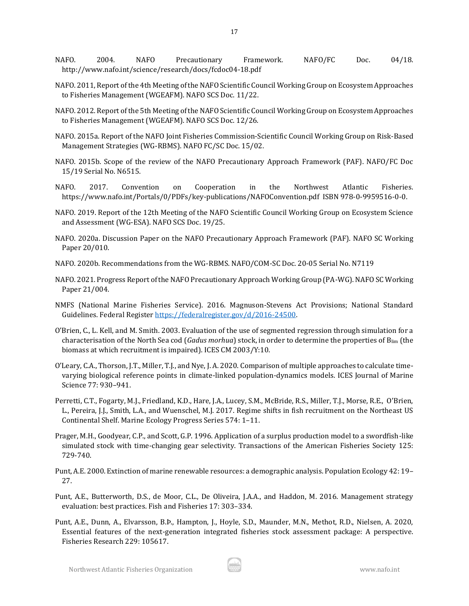- NAFO. 2004. NAFO Precautionary Framework. NAFO/FC Doc. 04/18. http://www.nafo.int/science/research/docs/fcdoc04-18.pdf
- NAFO. 2011, Report of the 4th Meeting of the NAFO Scientific Council Working Group on Ecosystem Approaches to Fisheries Management (WGEAFM). NAFO SCS Doc. 11/22.
- NAFO. 2012. Report of the 5th Meeting of the NAFO Scientific Council Working Group on Ecosystem Approaches to Fisheries Management (WGEAFM). NAFO SCS Doc. 12/26.
- NAFO. 2015a. Report of the NAFO Joint Fisheries Commission-Scientific Council Working Group on Risk-Based Management Strategies (WG-RBMS). NAFO FC/SC Doc. 15/02.
- NAFO. 2015b. Scope of the review of the NAFO Precautionary Approach Framework (PAF). NAFO/FC Doc 15/19 Serial No. N6515.
- NAFO. 2017. Convention on Cooperation in the Northwest Atlantic Fisheries. https://www.nafo.int/Portals/0/PDFs/key-publications/NAFOConvention.pdf ISBN 978-0-9959516-0-0.
- NAFO. 2019. Report of the 12th Meeting of the NAFO Scientific Council Working Group on Ecosystem Science and Assessment (WG-ESA). NAFO SCS Doc. 19/25.
- NAFO. 2020a. Discussion Paper on the NAFO Precautionary Approach Framework (PAF). NAFO SC Working Paper 20/010.
- NAFO. 2020b. Recommendations from the WG-RBMS. NAFO/COM-SC Doc. 20-05 Serial No. N7119
- NAFO. 2021. Progress Report of the NAFO Precautionary Approach Working Group (PA-WG). NAFO SC Working Paper 21/004.
- NMFS (National Marine Fisheries Service). 2016. Magnuson-Stevens Act Provisions; National Standard Guidelines. Federal Registe[r https://federalregister.gov/d/2016-24500.](https://federalregister.gov/d/2016-24500)
- O'Brien, C., L. Kell, and M. Smith. 2003. Evaluation of the use of segmented regression through simulation for a characterisation of the North Sea cod (*Gadus morhua*) stock, in order to determine the properties of Blim (the biomass at which recruitment is impaired). ICES CM 2003/Y:10.
- O'Leary, C.A., Thorson, J.T., Miller, T.J., and Nye, J. A. 2020. Comparison of multiple approaches to calculate timevarying biological reference points in climate-linked population-dynamics models. ICES Journal of Marine Science 77: 930–941.
- Perretti, C.T., Fogarty, M.J., Friedland, K.D., Hare, J.A., Lucey, S.M., McBride, R.S., Miller, T.J., Morse, R.E., O'Brien, L., Pereira, J.J., Smith, L.A., and Wuenschel, M.J. 2017. Regime shifts in fish recruitment on the Northeast US Continental Shelf. Marine Ecology Progress Series 574: 1–11.
- Prager, M.H., Goodyear, C.P., and Scott, G.P. 1996. Application of a surplus production model to a swordfish-like simulated stock with time-changing gear selectivity. Transactions of the American Fisheries Society 125: 729-740.
- Punt, A.E. 2000. Extinction of marine renewable resources: a demographic analysis. Population Ecology 42: 19– 27.
- Punt, A.E., Butterworth, D.S., de Moor, C.L., De Oliveira, J.A.A., and Haddon, M. 2016. Management strategy evaluation: best practices. Fish and Fisheries 17: 303–334.
- Punt, A.E., Dunn, A., Elvarsson, B.Þ., Hampton, J., Hoyle, S.D., Maunder, M.N., Methot, R.D., Nielsen, A. 2020, Essential features of the next-generation integrated fisheries stock assessment package: A perspective. Fisheries Research 229: 105617.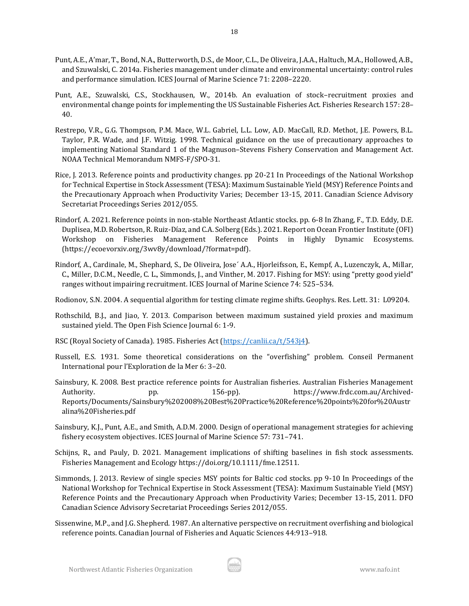- Punt, A.E., A'mar, T., Bond, N.A., Butterworth, D.S., de Moor, C.L., De Oliveira, J.A.A., Haltuch, M.A., Hollowed, A.B., and Szuwalski, C. 2014a. Fisheries management under climate and environmental uncertainty: control rules and performance simulation. ICES Journal of Marine Science 71: 2208–2220.
- Punt, A.E., Szuwalski, C.S., Stockhausen, W., 2014b. An evaluation of stock–recruitment proxies and environmental change points for implementing the US Sustainable Fisheries Act. Fisheries Research 157: 28– 40.
- Restrepo, V.R., G.G. Thompson, P.M. Mace, W.L. Gabriel, L.L. Low, A.D. MacCall, R.D. Methot, J.E. Powers, B.L. Taylor, P.R. Wade, and J.F. Witzig. 1998. Technical guidance on the use of precautionary approaches to implementing National Standard 1 of the Magnuson–Stevens Fishery Conservation and Management Act. NOAA Technical Memorandum NMFS-F/SPO-31.
- Rice, J. 2013. Reference points and productivity changes. pp 20-21 In Proceedings of the National Workshop for Technical Expertise in Stock Assessment (TESA): Maximum Sustainable Yield (MSY) Reference Points and the Precautionary Approach when Productivity Varies; December 13-15, 2011. Canadian Science Advisory Secretariat Proceedings Series 2012/055.
- Rindorf, A. 2021. Reference points in non-stable Northeast Atlantic stocks. pp. 6-8 In Zhang, F., T.D. Eddy, D.E. Duplisea, M.D. Robertson, R. Ruiz-Díaz, and C.A. Solberg (Eds.). 2021. Report on Ocean Frontier Institute (OFI) Workshop on Fisheries Management Reference Points in Highly Dynamic Ecosystems. (https://ecoevorxiv.org/3wv8y/download/?format=pdf).
- Rindorf, A., Cardinale, M., Shephard, S., De Oliveira, Jose´ A.A., Hjorleifsson, E., Kempf, A., Luzenczyk, A., Millar, C., Miller, D.C.M., Needle, C. L., Simmonds, J., and Vinther, M. 2017. Fishing for MSY: using "pretty good yield" ranges without impairing recruitment. ICES Journal of Marine Science 74: 525–534.
- Rodionov, S.N. 2004. A sequential algorithm for testing climate regime shifts. Geophys. Res. Lett. 31: L09204.
- Rothschild, B.J., and Jiao, Y. 2013. Comparison between maximum sustained yield proxies and maximum sustained yield. The Open Fish Science Journal 6: 1-9.
- RSC (Royal Society of Canada). 1985. Fisheries Act [\(https://canlii.ca/t/543j4\)](https://canlii.ca/t/543j4).
- Russell, E.S. 1931. Some theoretical considerations on the "overfishing" problem. Conseil Permanent International pour l'Exploration de la Mer 6: 3–20.
- Sainsbury, K. 2008. Best practice reference points for Australian fisheries. Australian Fisheries Management Authority. pp. 156-pp). https://www.frdc.com.au/Archived-Reports/Documents/Sainsbury%202008%20Best%20Practice%20Reference%20points%20for%20Austr alina%20Fisheries.pdf
- Sainsbury, K.J., Punt, A.E., and Smith, A.D.M. 2000. Design of operational management strategies for achieving fishery ecosystem objectives. ICES Journal of Marine Science 57: 731–741.
- Schijns, R., and Pauly, D. 2021. Management implications of shifting baselines in fish stock assessments. Fisheries Management and Ecology https://doi.org/10.1111/fme.12511.
- Simmonds, J. 2013. Review of single species MSY points for Baltic cod stocks. pp 9-10 In Proceedings of the National Workshop for Technical Expertise in Stock Assessment (TESA): Maximum Sustainable Yield (MSY) Reference Points and the Precautionary Approach when Productivity Varies; December 13-15, 2011. DFO Canadian Science Advisory Secretariat Proceedings Series 2012/055.
- Sissenwine, M.P., and J.G. Shepherd. 1987. An alternative perspective on recruitment overfishing and biological reference points. Canadian Journal of Fisheries and Aquatic Sciences 44:913–918.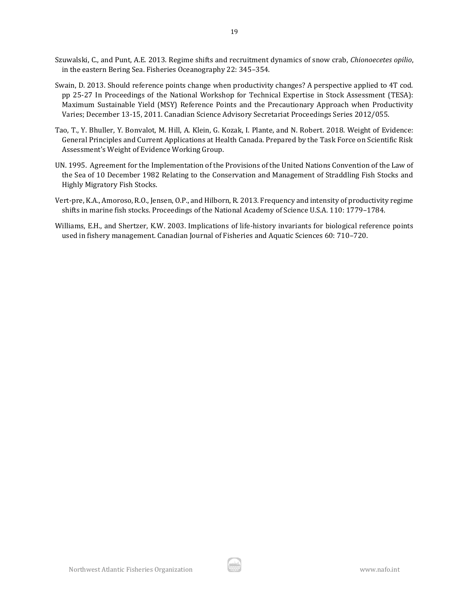- Szuwalski, C., and Punt, A.E. 2013. Regime shifts and recruitment dynamics of snow crab, *Chionoecetes opilio*, in the eastern Bering Sea. Fisheries Oceanography 22: 345–354.
- Swain, D. 2013. Should reference points change when productivity changes? A perspective applied to 4T cod. pp 25-27 In Proceedings of the National Workshop for Technical Expertise in Stock Assessment (TESA): Maximum Sustainable Yield (MSY) Reference Points and the Precautionary Approach when Productivity Varies; December 13-15, 2011. Canadian Science Advisory Secretariat Proceedings Series 2012/055.
- Tao, T., Y. Bhuller, Y. Bonvalot, M. Hill, A. Klein, G. Kozak, I. Plante, and N. Robert. 2018. Weight of Evidence: General Principles and Current Applications at Health Canada. Prepared by the Task Force on Scientific Risk Assessment's Weight of Evidence Working Group.
- UN. 1995. Agreement for the Implementation of the Provisions of the United Nations Convention of the Law of the Sea of 10 December 1982 Relating to the Conservation and Management of Straddling Fish Stocks and Highly Migratory Fish Stocks.
- Vert-pre, K.A., Amoroso, R.O., Jensen, O.P., and Hilborn, R. 2013. Frequency and intensity of productivity regime shifts in marine fish stocks. Proceedings of the National Academy of Science U.S.A. 110: 1779–1784.
- Williams, E.H., and Shertzer, K.W. 2003. Implications of life-history invariants for biological reference points used in fishery management. Canadian Journal of Fisheries and Aquatic Sciences 60: 710–720.